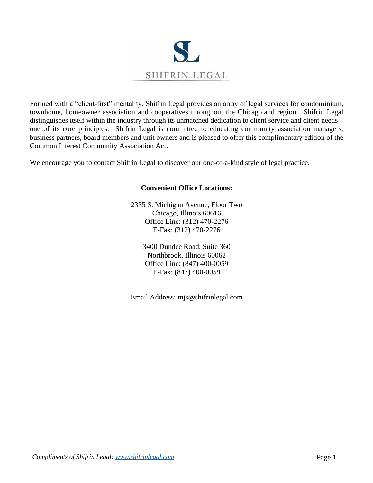

Formed with a "client-first" mentality, Shifrin Legal provides an array of legal services for condominium, townhome, homeowner association and cooperatives throughout the Chicagoland region. Shifrin Legal distinguishes itself within the industry through its unmatched dedication to client service and client needs – one of its core principles. Shifrin Legal is committed to educating community association managers, business partners, board members and unit owners and is pleased to offer this complimentary edition of the Common Interest Community Association Act.

We encourage you to contact Shifrin Legal to discover our one-of-a-kind style of legal practice.

# **Convenient Office Locations:**

2335 S. Michigan Avenue, Floor Two Chicago, Illinois 60616 Office Line: (312) 470-2276 E-Fax: (312) 470-2276

> 3400 Dundee Road, Suite 360 Northbrook, Illinois 60062 Office Line: (847) 400-0059 E-Fax: (847) 400-0059

Email Address: mjs@shifrinlegal.com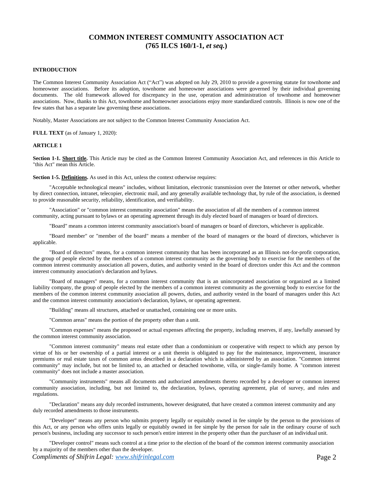# **COMMON INTEREST COMMUNITY ASSOCIATION ACT (765 ILCS 160/1-1,** *et seq.***)**

# **INTRODUCTION**

The Common Interest Community Association Act ("Act") was adopted on July 29, 2010 to provide a governing statute for townhome and homeowner associations. Before its adoption, townhome and homeowner associations were governed by their individual governing documents. The old framework allowed for discrepancy in the use, operation and administration of townhome and homeowner associations. Now, thanks to this Act, townhome and homeowner associations enjoy more standardized controls. Illinois is now one of the few states that has a separate law governing these associations.

Notably, Master Associations are not subject to the Common Interest Community Association Act.

**FULL TEXT** (as of January 1, 2020):

#### **ARTICLE 1**

**Section 1-1. Short title.** This Article may be cited as the Common Interest Community Association Act, and references in this Article to "this Act" mean this Article.

**Section 1-5. Definitions.** As used in this Act, unless the context otherwise requires:

"Acceptable technological means" includes, without limitation, electronic transmission over the Internet or other network, whether by direct connection, intranet, telecopier, electronic mail, and any generally available technology that, by rule of the association, is deemed to provide reasonable security, reliability, identification, and verifiability.

"Association" or "common interest community association" means the association of all the members of a common interest community, acting pursuant to bylaws or an operating agreement through its duly elected board of managers or board of directors.

"Board" means a common interest community association's board of managers or board of directors, whichever is applicable.

"Board member" or "member of the board" means a member of the board of managers or the board of directors, whichever is applicable.

"Board of directors" means, for a common interest community that has been incorporated as an Illinois not-for-profit corporation, the group of people elected by the members of a common interest community as the governing body to exercise for the members of the common interest community association all powers, duties, and authority vested in the board of directors under this Act and the common interest community association's declaration and bylaws.

"Board of managers" means, for a common interest community that is an unincorporated association or organized as a limited liability company, the group of people elected by the members of a common interest community as the governing body to exercise for the members of the common interest community association all powers, duties, and authority vested in the board of managers under this Act and the common interest community association's declaration, bylaws, or operating agreement.

"Building" means all structures, attached or unattached, containing one or more units.

"Common areas" means the portion of the property other than a unit.

"Common expenses" means the proposed or actual expenses affecting the property, including reserves, if any, lawfully assessed by the common interest community association.

"Common interest community" means real estate other than a condominium or cooperative with respect to which any person by virtue of his or her ownership of a partial interest or a unit therein is obligated to pay for the maintenance, improvement, insurance premiums or real estate taxes of common areas described in a declaration which is administered by an association. "Common interest community" may include, but not be limited to, an attached or detached townhome, villa, or single-family home. A "common interest community" does not include a master association.

"Community instruments" means all documents and authorized amendments thereto recorded by a developer or common interest community association, including, but not limited to, the declaration, bylaws, operating agreement, plat of survey, and rules and regulations.

"Declaration" means any duly recorded instruments, however designated, that have created a common interest community and any duly recorded amendments to those instruments.

"Developer" means any person who submits property legally or equitably owned in fee simple by the person to the provisions of this Act, or any person who offers units legally or equitably owned in fee simple by the person for sale in the ordinary course of such person's business, including any successor to such person's entire interest in the property other than the purchaser of an individual unit.

"Developer control" means such control at a time prior to the election of the board of the common interest community association by a majority of the members other than the developer.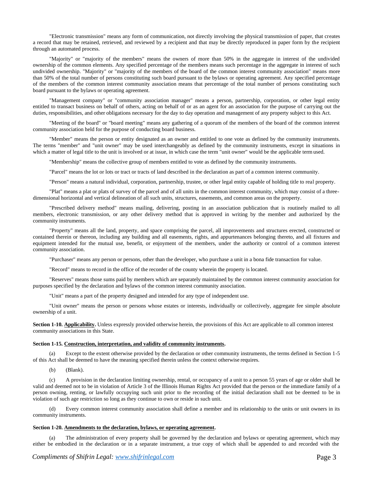"Electronic transmission" means any form of communication, not directly involving the physical transmission of paper, that creates a record that may be retained, retrieved, and reviewed by a recipient and that may be directly reproduced in paper form by the recipient through an automated process.

"Majority" or "majority of the members" means the owners of more than 50% in the aggregate in interest of the undivided ownership of the common elements. Any specified percentage of the members means such percentage in the aggregate in interest of such undivided ownership. "Majority" or "majority of the members of the board of the common interest community association" means more than 50% of the total number of persons constituting such board pursuant to the bylaws or operating agreement. Any specified percentage of the members of the common interest community association means that percentage of the total number of persons constituting such board pursuant to the bylaws or operating agreement.

"Management company" or "community association manager" means a person, partnership, corporation, or other legal entity entitled to transact business on behalf of others, acting on behalf of or as an agent for an association for the purpose of carrying out the duties, responsibilities, and other obligations necessary for the day to day operation and management of any property subject to this Act.

"Meeting of the board" or "board meeting" means any gathering of a quorum of the members of the board of the common interest community association held for the purpose of conducting board business.

"Member" means the person or entity designated as an owner and entitled to one vote as defined by the community instruments. The terms "member" and "unit owner" may be used interchangeably as defined by the community instruments, except in situations in which a matter of legal title to the unit is involved or at issue, in which case the term "unit owner" would be the applicable termused.

"Membership" means the collective group of members entitled to vote as defined by the community instruments.

"Parcel" means the lot or lots or tract or tracts of land described in the declaration as part of a common interest community.

"Person" means a natural individual, corporation, partnership, trustee, or other legal entity capable of holding title to real property.

"Plat" means a plat or plats of survey of the parcel and of all units in the common interest community, which may consist of a threedimensional horizontal and vertical delineation of all such units, structures, easements, and common areas on the property.

"Prescribed delivery method" means mailing, delivering, posting in an association publication that is routinely mailed to all members, electronic transmission, or any other delivery method that is approved in writing by the member and authorized by the community instruments.

"Property" means all the land, property, and space comprising the parcel, all improvements and structures erected, constructed or contained therein or thereon, including any building and all easements, rights, and appurtenances belonging thereto, and all fixtures and equipment intended for the mutual use, benefit, or enjoyment of the members, under the authority or control of a common interest community association.

"Purchaser" means any person or persons, other than the developer, who purchase a unit in a bona fide transaction for value.

"Record" means to record in the office of the recorder of the county wherein the property is located.

"Reserves" means those sums paid by members which are separately maintained by the common interest community association for purposes specified by the declaration and bylaws of the common interest community association.

"Unit" means a part of the property designed and intended for any type of independent use.

"Unit owner" means the person or persons whose estates or interests, individually or collectively, aggregate fee simple absolute ownership of a unit.

**Section 1-10. Applicability.** Unless expressly provided otherwise herein, the provisions of this Act are applicable to all common interest community associations in this State.

## **Section 1-15. Construction, interpretation, and validity of community instruments.**

(a) Except to the extent otherwise provided by the declaration or other community instruments, the terms defined in Section 1-5 of this Act shall be deemed to have the meaning specified therein unless the context otherwise requires.

(b) (Blank).

(c) A provision in the declaration limiting ownership, rental, or occupancy of a unit to a person 55 years of age or older shall be valid and deemed not to be in violation of Article 3 of the Illinois Human Rights Act provided that the person or the immediate family of a person owning, renting, or lawfully occupying such unit prior to the recording of the initial declaration shall not be deemed to be in violation of such age restriction so long as they continue to own or reside in such unit.

(d) Every common interest community association shall define a member and its relationship to the units or unit owners in its community instruments.

#### **Section 1-20. Amendments to the declaration, bylaws, or operating agreement.**

(a) The administration of every property shall be governed by the declaration and bylaws or operating agreement, which may either be embodied in the declaration or in a separate instrument, a true copy of which shall be appended to and recorded with the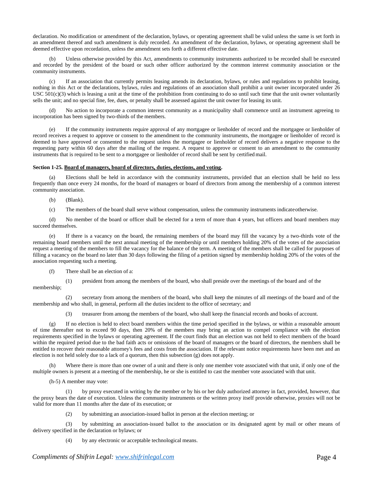declaration. No modification or amendment of the declaration, bylaws, or operating agreement shall be valid unless the same is set forth in an amendment thereof and such amendment is duly recorded. An amendment of the declaration, bylaws, or operating agreement shall be deemed effective upon recordation, unless the amendment sets forth a different effective date.

(b) Unless otherwise provided by this Act, amendments to community instruments authorized to be recorded shall be executed and recorded by the president of the board or such other officer authorized by the common interest community association or the community instruments.

(c) If an association that currently permits leasing amends its declaration, bylaws, or rules and regulations to prohibit leasing, nothing in this Act or the declarations, bylaws, rules and regulations of an association shall prohibit a unit owner incorporated under 26 USC 501(c)(3) which is leasing a unit at the time of the prohibition from continuing to do so until such time that the unit owner voluntarily sells the unit; and no special fine, fee, dues, or penalty shall be assessed against the unit owner for leasing its unit.

(d) No action to incorporate a common interest community as a municipality shall commence until an instrument agreeing to incorporation has been signed by two-thirds of the members.

(e) If the community instruments require approval of any mortgagee or lienholder of record and the mortgagee or lienholder of record receives a request to approve or consent to the amendment to the community instruments, the mortgagee or lienholder of record is deemed to have approved or consented to the request unless the mortgagee or lienholder of record delivers a negative response to the requesting party within 60 days after the mailing of the request. A request to approve or consent to an amendment to the community instruments that is required to be sent to a mortgagee or lienholder of record shall be sent by certified mail.

## **Section 1-25. Board of managers, board of directors, duties, elections, and voting.**

Elections shall be held in accordance with the community instruments, provided that an election shall be held no less frequently than once every 24 months, for the board of managers or board of directors from among the membership of a common interest community association.

- (b) (Blank).
- (c) The members of the board shall serve without compensation, unless the community instruments indicateotherwise.

(d) No member of the board or officer shall be elected for a term of more than 4 years, but officers and board members may succeed themselves.

(e) If there is a vacancy on the board, the remaining members of the board may fill the vacancy by a two-thirds vote of the remaining board members until the next annual meeting of the membership or until members holding 20% of the votes of the association request a meeting of the members to fill the vacancy for the balance of the term. A meeting of the members shall be called for purposes of filling a vacancy on the board no later than 30 days following the filing of a petition signed by membership holding 20% of the votes of the association requesting such a meeting.

(f) There shall be an election of a:

(1) president from among the members of the board, who shall preside over the meetings of the board and of the

membership;

(2) secretary from among the members of the board, who shall keep the minutes of all meetings of the board and of the membership and who shall, in general, perform all the duties incident to the office of secretary; and

(3) treasurer from among the members of the board, who shall keep the financial records and books of account.

(g) If no election is held to elect board members within the time period specified in the bylaws, or within a reasonable amount of time thereafter not to exceed 90 days, then 20% of the members may bring an action to compel compliance with the election requirements specified in the bylaws or operating agreement. If the court finds that an election was not held to elect members of the board within the required period due to the bad faith acts or omissions of the board of managers or the board of directors, the members shall be entitled to recover their reasonable attorney's fees and costs from the association. If the relevant notice requirements have been met and an election is not held solely due to a lack of a quorum, then this subsection (g) does not apply.

Where there is more than one owner of a unit and there is only one member vote associated with that unit, if only one of the multiple owners is present at a meeting of the membership, he or she is entitled to cast the member vote associated with that unit.

(h-5) A member may vote:

(1) by proxy executed in writing by the member or by his or her duly authorized attorney in fact, provided, however, that the proxy bears the date of execution. Unless the community instruments or the written proxy itself provide otherwise, proxies will not be valid for more than 11 months after the date of its execution; or

(2) by submitting an association-issued ballot in person at the election meeting; or

(3) by submitting an association-issued ballot to the association or its designated agent by mail or other means of delivery specified in the declaration or bylaws; or

(4) by any electronic or acceptable technological means.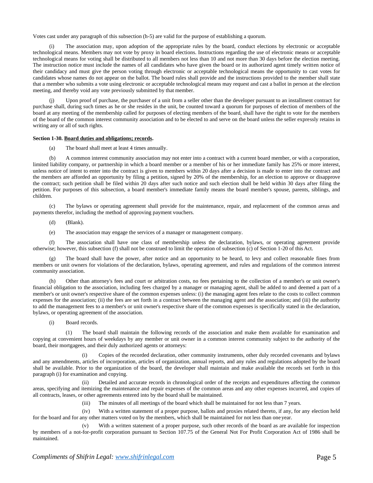Votes cast under any paragraph of this subsection (h-5) are valid for the purpose of establishing a quorum.

The association may, upon adoption of the appropriate rules by the board, conduct elections by electronic or acceptable technological means. Members may not vote by proxy in board elections. Instructions regarding the use of electronic means or acceptable technological means for voting shall be distributed to all members not less than 10 and not more than 30 days before the election meeting. The instruction notice must include the names of all candidates who have given the board or its authorized agent timely written notice of their candidacy and must give the person voting through electronic or acceptable technological means the opportunity to cast votes for candidates whose names do not appear on the ballot. The board rules shall provide and the instructions provided to the member shall state that a member who submits a vote using electronic or acceptable technological means may request and cast a ballot in person at the election meeting, and thereby void any vote previously submitted by that member.

Upon proof of purchase, the purchaser of a unit from a seller other than the developer pursuant to an installment contract for purchase shall, during such times as he or she resides in the unit, be counted toward a quorum for purposes of election of members of the board at any meeting of the membership called for purposes of electing members of the board, shall have the right to vote for the members of the board of the common interest community association and to be elected to and serve on the board unless the seller expressly retains in writing any or all of such rights.

## **Section 1-30. Board duties and obligations; records.**

(a) The board shall meet at least 4 times annually.

(b) A common interest community association may not enter into a contract with a current board member, or with a corporation, limited liability company, or partnership in which a board member or a member of his or her immediate family has 25% or more interest, unless notice of intent to enter into the contract is given to members within 20 days after a decision is made to enter into the contract and the members are afforded an opportunity by filing a petition, signed by 20% of the membership, for an election to approve or disapprove the contract; such petition shall be filed within 20 days after such notice and such election shall be held within 30 days after filing the petition. For purposes of this subsection, a board member's immediate family means the board member's spouse, parents, siblings, and children.

The bylaws or operating agreement shall provide for the maintenance, repair, and replacement of the common areas and payments therefor, including the method of approving payment vouchers.

- (d) (Blank).
- (e) The association may engage the services of a manager or management company.

(f) The association shall have one class of membership unless the declaration, bylaws, or operating agreement provide otherwise; however, this subsection (f) shall not be construed to limit the operation of subsection (c) of Section 1-20 of thisAct.

(g) The board shall have the power, after notice and an opportunity to be heard, to levy and collect reasonable fines from members or unit owners for violations of the declaration, bylaws, operating agreement, and rules and regulations of the common interest community association.

(h) Other than attorney's fees and court or arbitration costs, no fees pertaining to the collection of a member's or unit owner's financial obligation to the association, including fees charged by a manager or managing agent, shall be added to and deemed a part of a member's or unit owner's respective share of the common expenses unless: (i) the managing agent fees relate to the costs to collect common expenses for the association; (ii) the fees are set forth in a contract between the managing agent and the association; and (iii) the authority to add the management fees to a member's or unit owner's respective share of the common expenses is specifically stated in the declaration, bylaws, or operating agreement of the association.

(i) Board records.

(1) The board shall maintain the following records of the association and make them available for examination and copying at convenient hours of weekdays by any member or unit owner in a common interest community subject to the authority of the board, their mortgagees, and their duly authorized agents or attorneys:

Copies of the recorded declaration, other community instruments, other duly recorded covenants and bylaws and any amendments, articles of incorporation, articles of organization, annual reports, and any rules and regulations adopted by the board shall be available. Prior to the organization of the board, the developer shall maintain and make available the records set forth in this paragraph (i) for examination and copying.

(ii) Detailed and accurate records in chronological order of the receipts and expenditures affecting the common areas, specifying and itemizing the maintenance and repair expenses of the common areas and any other expenses incurred, and copies of all contracts, leases, or other agreements entered into by the board shall be maintained.

(iii) The minutes of all meetings of the board which shall be maintained for not less than 7 years.

(iv) With a written statement of a proper purpose, ballots and proxies related thereto, if any, for any election held for the board and for any other matters voted on by the members, which shall be maintained for not less than one year.

(v) With a written statement of a proper purpose, such other records of the board as are available for inspection by members of a not-for-profit corporation pursuant to Section 107.75 of the General Not For Profit Corporation Act of 1986 shall be maintained.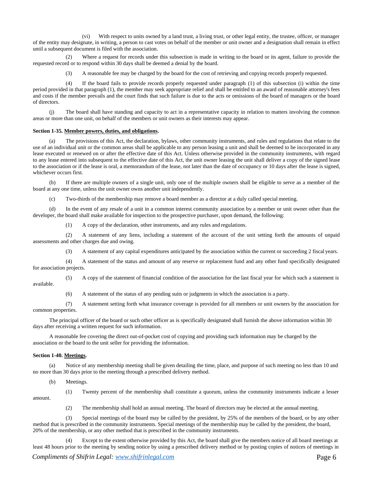(vi) With respect to units owned by a land trust, a living trust, or other legal entity, the trustee, officer, or manager of the entity may designate, in writing, a person to cast votes on behalf of the member or unit owner and a designation shall remain in effect until a subsequent document is filed with the association.

(2) Where a request for records under this subsection is made in writing to the board or its agent, failure to provide the requested record or to respond within 30 days shall be deemed a denial by the board.

(3) A reasonable fee may be charged by the board for the cost of retrieving and copying records properly requested.

(4) If the board fails to provide records properly requested under paragraph (1) of this subsection (i) within the time period provided in that paragraph (1), the member may seek appropriate relief and shall be entitled to an award of reasonable attorney's fees and costs if the member prevails and the court finds that such failure is due to the acts or omissions of the board of managers or the board of directors.

(j) The board shall have standing and capacity to act in a representative capacity in relation to matters involving the common areas or more than one unit, on behalf of the members or unit owners as their interests may appear.

#### **Section 1-35. Member powers, duties, and obligations.**

(a) The provisions of this Act, the declaration, bylaws, other community instruments, and rules and regulations that relate to the use of an individual unit or the common areas shall be applicable to any person leasing a unit and shall be deemed to be incorporated in any lease executed or renewed on or after the effective date of this Act. Unless otherwise provided in the community instruments, with regard to any lease entered into subsequent to the effective date of this Act, the unit owner leasing the unit shall deliver a copy of the signed lease to the association or if the lease is oral, a memorandum of the lease, not later than the date of occupancy or 10 days after the lease is signed, whichever occurs first.

(b) If there are multiple owners of a single unit, only one of the multiple owners shall be eligible to serve as a member of the board at any one time, unless the unit owner owns another unit independently.

(c) Two-thirds of the membership may remove a board member as a director at a duly called special meeting.

(d) In the event of any resale of a unit in a common interest community association by a member or unit owner other than the developer, the board shall make available for inspection to the prospective purchaser, upon demand, the following:

(1) A copy of the declaration, other instruments, and any rules and regulations.

(2) A statement of any liens, including a statement of the account of the unit setting forth the amounts of unpaid assessments and other charges due and owing.

(3) A statement of any capital expenditures anticipated by the association within the current or succeeding 2 fiscal years.

(4) A statement of the status and amount of any reserve or replacement fund and any other fund specifically designated for association projects.

(5) A copy of the statement of financial condition of the association for the last fiscal year for which such a statement is available.

(6) A statement of the status of any pending suits or judgments in which the association is a party.

(7) A statement setting forth what insurance coverage is provided for all members or unit owners by the association for common properties.

The principal officer of the board or such other officer as is specifically designated shall furnish the above information within 30 days after receiving a written request for such information.

A reasonable fee covering the direct out-of-pocket cost of copying and providing such information may be charged by the association or the board to the unit seller for providing the information.

# **Section 1-40. Meetings.**

(a) Notice of any membership meeting shall be given detailing the time, place, and purpose of such meeting no less than 10 and no more than 30 days prior to the meeting through a prescribed delivery method.

(b) Meetings.

amount.

(1) Twenty percent of the membership shall constitute a quorum, unless the community instruments indicate a lesser

(2) The membership shall hold an annual meeting. The board of directors may be elected at the annual meeting.

(3) Special meetings of the board may be called by the president, by 25% of the members of the board, or by any other method that is prescribed in the community instruments. Special meetings of the membership may be called by the president, the board, 20% of the membership, or any other method that is prescribed in the community instruments.

Except to the extent otherwise provided by this Act, the board shall give the members notice of all board meetings at least 48 hours prior to the meeting by sending notice by using a prescribed delivery method or by posting copies of notices of meetings in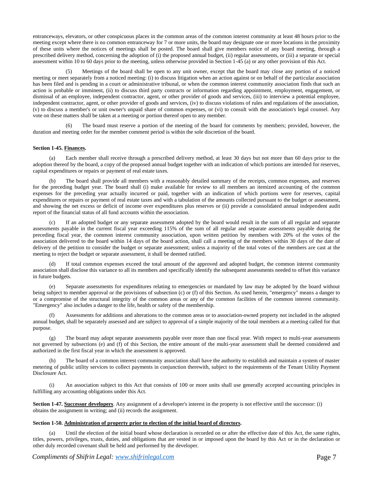entranceways, elevators, or other conspicuous places in the common areas of the common interest community at least 48 hours prior to the meeting except where there is no common entranceway for 7 or more units, the board may designate one or more locations in the proximity of these units where the notices of meetings shall be posted. The board shall give members notice of any board meeting, through a prescribed delivery method, concerning the adoption of (i) the proposed annual budget, (ii) regular assessments, or (iii) a separate or special assessment within 10 to 60 days prior to the meeting, unless otherwise provided in Section 1-45 (a) or any other provision of this Act.

(5) Meetings of the board shall be open to any unit owner, except that the board may close any portion of a noticed meeting or meet separately from a noticed meeting: (i) to discuss litigation when an action against or on behalf of the particular association has been filed and is pending in a court or administrative tribunal, or when the common interest community association finds that such an action is probable or imminent, (ii) to discuss third party contracts or information regarding appointment, employment, engagement, or dismissal of an employee, independent contractor, agent, or other provider of goods and services, (iii) to interview a potential employee, independent contractor, agent, or other provider of goods and services, (iv) to discuss violations of rules and regulations of the association, (v) to discuss a member's or unit owner's unpaid share of common expenses, or (vi) to consult with the association's legal counsel. Any vote on these matters shall be taken at a meeting or portion thereof open to any member.

The board must reserve a portion of the meeting of the board for comments by members; provided, however, the duration and meeting order for the member comment period is within the sole discretion of the board.

# **Section 1-45. Finances.**

(a) Each member shall receive through a prescribed delivery method, at least 30 days but not more than 60 days prior to the adoption thereof by the board, a copy of the proposed annual budget together with an indication of which portions are intended for reserves, capital expenditures or repairs or payment of real estate taxes.

(b) The board shall provide all members with a reasonably detailed summary of the receipts, common expenses, and reserves for the preceding budget year. The board shall (i) make available for review to all members an itemized accounting of the common expenses for the preceding year actually incurred or paid, together with an indication of which portions were for reserves, capital expenditures or repairs or payment of real estate taxes and with a tabulation of the amounts collected pursuant to the budget or assessment, and showing the net excess or deficit of income over expenditures plus reserves or (ii) provide a consolidated annual independent audit report of the financial status of all fund accounts within the association.

(c) If an adopted budget or any separate assessment adopted by the board would result in the sum of all regular and separate assessments payable in the current fiscal year exceeding 115% of the sum of all regular and separate assessments payable during the preceding fiscal year, the common interest community association, upon written petition by members with 20% of the votes of the association delivered to the board within 14 days of the board action, shall call a meeting of the members within 30 days of the date of delivery of the petition to consider the budget or separate assessment; unless a majority of the total votes of the members are cast at the meeting to reject the budget or separate assessment, it shall be deemed ratified.

If total common expenses exceed the total amount of the approved and adopted budget, the common interest community association shall disclose this variance to all its members and specifically identify the subsequent assessments needed to offset this variance in future budgets.

(e) Separate assessments for expenditures relating to emergencies or mandated by law may be adopted by the board without being subject to member approval or the provisions of subsection (c) or (f) of this Section. As used herein, "emergency" means a danger to or a compromise of the structural integrity of the common areas or any of the common facilities of the common interest community. "Emergency" also includes a danger to the life, health or safety of the membership.

Assessments for additions and alterations to the common areas or to association-owned property not included in the adopted annual budget, shall be separately assessed and are subject to approval of a simple majority of the total members at a meeting called for that purpose.

(g) The board may adopt separate assessments payable over more than one fiscal year. With respect to multi-year assessments not governed by subsections (e) and (f) of this Section, the entire amount of the multi-year assessment shall be deemed considered and authorized in the first fiscal year in which the assessment is approved.

The board of a common interest community association shall have the authority to establish and maintain a system of master metering of public utility services to collect payments in conjunction therewith, subject to the requirements of the Tenant Utility Payment Disclosure Act.

(i) An association subject to this Act that consists of 100 or more units shall use generally accepted accounting principles in fulfilling any accounting obligations under this Act.

**Section 1-47. Successor developers**. Any assignment of a developer's interest in the property is not effective until the successor: (i) obtains the assignment in writing; and (ii) records the assignment.

### **Section 1-50. Administration of property prior to election of the initial board of directors.**

Until the election of the initial board whose declaration is recorded on or after the effective date of this Act, the same rights, titles, powers, privileges, trusts, duties, and obligations that are vested in or imposed upon the board by this Act or in the declaration or other duly recorded covenant shall be held and performed by the developer.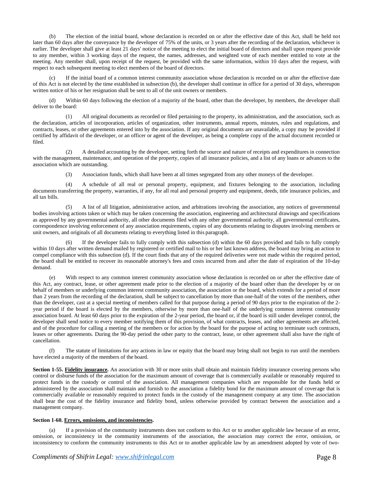(b) The election of the initial board, whose declaration is recorded on or after the effective date of this Act, shall be held not later than 60 days after the conveyance by the developer of 75% of the units, or 3 years after the recording of the declaration, whichever is earlier. The developer shall give at least 21 days' notice of the meeting to elect the initial board of directors and shall upon request provide to any member, within 3 working days of the request, the names, addresses, and weighted vote of each member entitled to vote at the meeting. Any member shall, upon receipt of the request, be provided with the same information, within 10 days after the request, with respect to each subsequent meeting to elect members of the board of directors.

(c) If the initial board of a common interest community association whose declaration is recorded on or after the effective date of this Act is not elected by the time established in subsection (b), the developer shall continue in office for a period of 30 days, whereupon written notice of his or her resignation shall be sent to all of the unit owners or members.

(d) Within 60 days following the election of a majority of the board, other than the developer, by members, the developer shall deliver to the board:

(1) All original documents as recorded or filed pertaining to the property, its administration, and the association, such as the declaration, articles of incorporation, articles of organization, other instruments, annual reports, minutes, rules and regulations, and contracts, leases, or other agreements entered into by the association. If any original documents are unavailable, a copy may be provided if certified by affidavit of the developer, or an officer or agent of the developer, as being a complete copy of the actual document recorded or filed.

(2) A detailed accounting by the developer, setting forth the source and nature of receipts and expenditures in connection with the management, maintenance, and operation of the property, copies of all insurance policies, and a list of any loans or advances to the association which are outstanding.

(3) Association funds, which shall have been at all times segregated from any other moneys of the developer.

(4) A schedule of all real or personal property, equipment, and fixtures belonging to the association, including documents transferring the property, warranties, if any, for all real and personal property and equipment, deeds, title insurance policies, and all tax bills.

(5) A list of all litigation, administrative action, and arbitrations involving the association, any notices of governmental bodies involving actions taken or which may be taken concerning the association, engineering and architectural drawings and specifications as approved by any governmental authority, all other documents filed with any other governmental authority, all governmental certificates, correspondence involving enforcement of any association requirements, copies of any documents relating to disputes involving members or unit owners, and originals of all documents relating to everything listed in this paragraph.

If the developer fails to fully comply with this subsection (d) within the 60 days provided and fails to fully comply within 10 days after written demand mailed by registered or certified mail to his or her last known address, the board may bring an action to compel compliance with this subsection (d). If the court finds that any of the required deliveries were not made within the required period, the board shall be entitled to recover its reasonable attorney's fees and costs incurred from and after the date of expiration of the 10-day demand.

(e) With respect to any common interest community association whose declaration is recorded on or after the effective date of this Act, any contract, lease, or other agreement made prior to the election of a majority of the board other than the developer by or on behalf of members or underlying common interest community association, the association or the board, which extends for a period of more than 2 years from the recording of the declaration, shall be subject to cancellation by more than one-half of the votes of the members, other than the developer, cast at a special meeting of members called for that purpose during a period of 90 days prior to the expiration of the 2 year period if the board is elected by the members, otherwise by more than one-half of the underlying common interest community association board. At least 60 days prior to the expiration of the 2-year period, the board or, if the board is still under developer control, the developer shall send notice to every member notifying them of this provision, of what contracts, leases, and other agreements are affected, and of the procedure for calling a meeting of the members or for action by the board for the purpose of acting to terminate such contracts, leases or other agreements. During the 90-day period the other party to the contract, lease, or other agreement shall also have the right of cancellation.

(f) The statute of limitations for any actions in law or equity that the board may bring shall not begin to run until the members have elected a majority of the members of the board.

**Section 1-55. Fidelity insurance.** An association with 30 or more units shall obtain and maintain fidelity insurance covering persons who control or disburse funds of the association for the maximum amount of coverage that is commercially available or reasonably required to protect funds in the custody or control of the association. All management companies which are responsible for the funds held or administered by the association shall maintain and furnish to the association a fidelity bond for the maximum amount of coverage that is commercially available or reasonably required to protect funds in the custody of the management company at any time. The association shall bear the cost of the fidelity insurance and fidelity bond, unless otherwise provided by contract between the association and a management company.

# **Section 1-60. Errors, omissions, and inconsistencies.**

(a) If a provision of the community instruments does not conform to this Act or to another applicable law because of an error, omission, or inconsistency in the community instruments of the association, the association may correct the error, omission, or inconsistency to conform the community instruments to this Act or to another applicable law by an amendment adopted by vote of two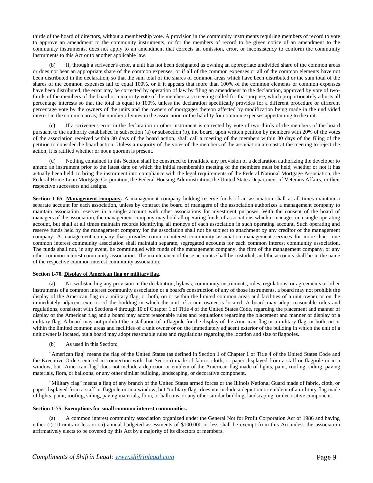thirds of the board of directors, without a membership vote. A provision in the community instruments requiring members of record to vote to approve an amendment to the community instruments, or for the members of record to be given notice of an amendment to the community instruments, does not apply to an amendment that corrects an omission, error, or inconsistency to conform the community instruments to this Act or to another applicable law.

(b) If, through a scrivener's error, a unit has not been designated as owning an appropriate undivided share of the common areas or does not bear an appropriate share of the common expenses, or if all of the common expenses or all of the common elements have not been distributed in the declaration, so that the sum total of the shares of common areas which have been distributed or the sum total of the shares of the common expenses fail to equal 100%, or if it appears that more than 100% of the common elements or common expenses have been distributed, the error may be corrected by operation of law by filing an amendment to the declaration, approved by vote of twothirds of the members of the board or a majority vote of the members at a meeting called for that purpose, which proportionately adjusts all percentage interests so that the total is equal to 100%, unless the declaration specifically provides for a different procedure or different percentage vote by the owners of the units and the owners of mortgages thereon affected by modification being made in the undivided interest in the common areas, the number of votes in the association or the liability for common expenses appertaining to the unit.

(c) If a scrivener's error in the declaration or other instrument is corrected by vote of two-thirds of the members of the board pursuant to the authority established in subsection (a) or subsection (b), the board, upon written petition by members with 20% of the votes of the association received within 30 days of the board action, shall call a meeting of the members within 30 days of the filing of the petition to consider the board action. Unless a majority of the votes of the members of the association are cast at the meeting to reject the action, it is ratified whether or not a quorum is present.

Nothing contained in this Section shall be construed to invalidate any provision of a declaration authorizing the developer to amend an instrument prior to the latest date on which the initial membership meeting of the members must be held, whether or not it has actually been held, to bring the instrument into compliance with the legal requirements of the Federal National Mortgage Association, the Federal Home Loan Mortgage Corporation, the Federal Housing Administration, the United States Department of Veterans Affairs, or their respective successors and assigns.

Section 1-65. Management company. A management company holding reserve funds of an association shall at all times maintain a separate account for each association, unless by contract the board of managers of the association authorizes a management company to maintain association reserves in a single account with other associations for investment purposes. With the consent of the board of managers of the association, the management company may hold all operating funds of associations which it manages in a single operating account, but shall at all times maintain records identifying all moneys of each association in such operating account. Such operating and reserve funds held by the management company for the association shall not be subject to attachment by any creditor of the management company. A management company that provides common interest community association management services for more than one common interest community association shall maintain separate, segregated accounts for each common interest community association. The funds shall not, in any event, be commingled with funds of the management company, the firm of the management company, or any other common interest community association. The maintenance of these accounts shall be custodial, and the accounts shall be in the name of the respective common interest community association.

## **Section 1-70. Display of American flag or military flag.**

(a) Notwithstanding any provision in the declaration, bylaws, community instruments, rules, regulations, or agreements or other instruments of a common interest community association or a board's construction of any of those instruments, a board may not prohibit the display of the American flag or a military flag, or both, on or within the limited common areas and facilities of a unit owner or on the immediately adjacent exterior of the building in which the unit of a unit owner is located. A board may adopt reasonable rules and regulations, consistent with Sections 4 through 10 of Chapter 1 of Title 4 of the United States Code, regarding the placement and manner of display of the American flag and a board may adopt reasonable rules and regulations regarding the placement and manner of display of a military flag. A board may not prohibit the installation of a flagpole for the display of the American flag or a military flag, or both, on or within the limited common areas and facilities of a unit owner or on the immediately adjacent exterior of the building in which the unit of a unit owner is located, but a board may adopt reasonable rules and regulations regarding the location and size offlagpoles.

(b) As used in this Section:

"American flag" means the flag of the United States (as defined in Section 1 of Chapter 1 of Title 4 of the United States Code and the Executive Orders entered in connection with that Section) made of fabric, cloth, or paper displayed from a staff or flagpole or in a window, but "American flag" does not include a depiction or emblem of the American flag made of lights, paint, roofing, siding, paving materials, flora, or balloons, or any other similar building, landscaping, or decorative component.

"Military flag" means a flag of any branch of the United States armed forces or the Illinois National Guard made of fabric, cloth, or paper displayed from a staff or flagpole or in a window, but "military flag" does not include a depiction or emblem of a military flag made of lights, paint, roofing, siding, paving materials, flora, or balloons, or any other similar building, landscaping, or decorative component.

#### **Section 1-75. Exemptions for small common interest communities.**

A common interest community association organized under the General Not for Profit Corporation Act of 1986 and having either (i) 10 units or less or (ii) annual budgeted assessments of \$100,000 or less shall be exempt from this Act unless the association affirmatively elects to be covered by this Act by a majority of its directors or members.